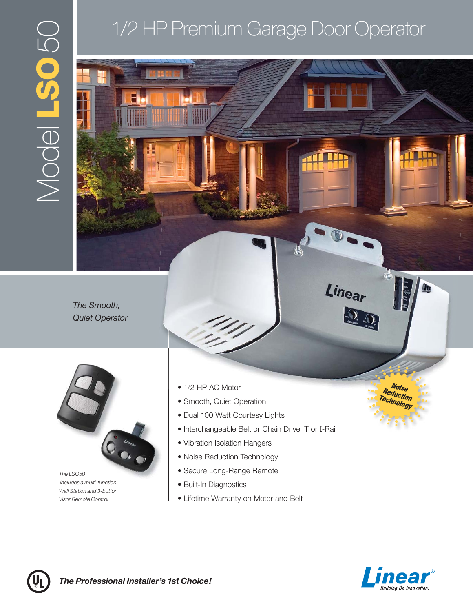# Model **LSO**50  $\bigcup$ DSST IPOON

## 1/2 HP Premium Garage Door Operator

*The Smooth, Quiet Operator*



*The LSO50 includes a multi-function Wall Station and 3-button Visor Remote Control*

- 1/2 HP AC Motor **Property and Access to the Access of Access 12 Algebra 2014**
- Smooth, Quiet Operation
- Dual 100 Watt Courtesy Lights
- Interchangeable Belt or Chain Drive, T or I-Rail
- Vibration Isolation Hangers
- Noise Reduction Technology
- Secure Long-Range Remote
- Built-In Diagnostics
- Lifetime Warranty on Motor and Belt



*Reduction Technology*

Linear